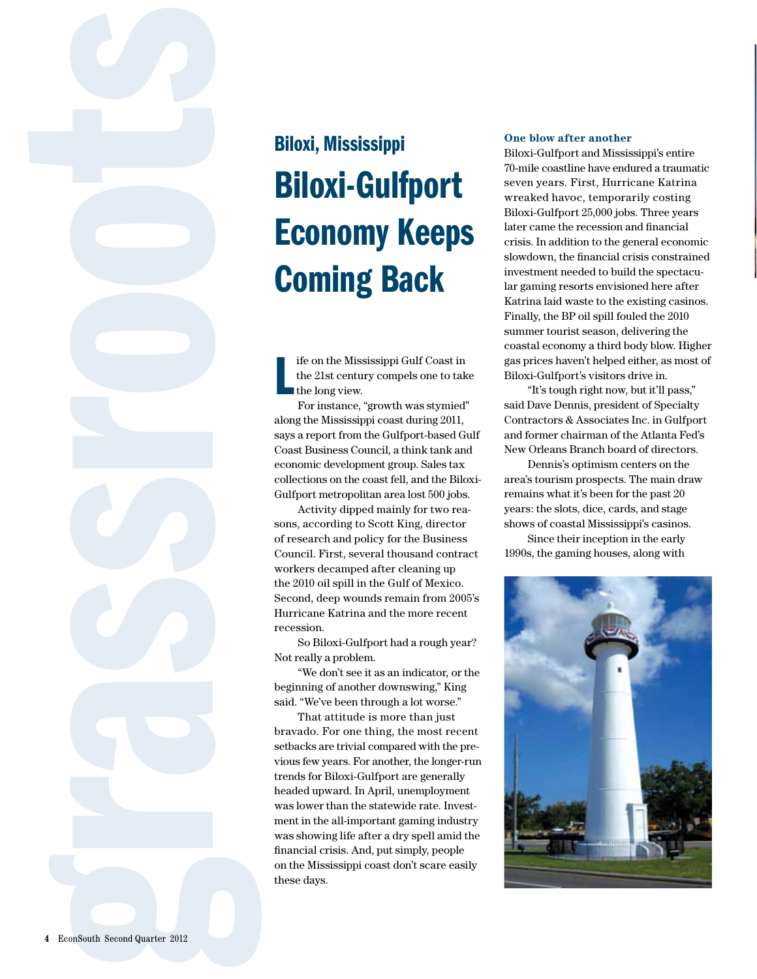# Biloxi-Gulfport Economy Keeps Coming Back

L ife on the Mississippi Gulf Coast in the 21st century compels one to take the long view.

For instance, "growth was stymied" along the Mississippi coast during 2011, says a report from the Gulfport-based Gulf Coast Business Council, a think tank and economic development group. Sales tax collections on the coast fell, and the Biloxi-Gulfport metropolitan area lost 500 jobs.

Activity dipped mainly for two reasons, according to Scott King, director of research and policy for the Business Council. First, several thousand contract workers decamped after cleaning up the 2010 oil spill in the Gulf of Mexico. Second, deep wounds remain from 2005's Hurricane Katrina and the more recent recession.

So Biloxi-Gulfport had a rough year? Not really a problem.

"We don't see it as an indicator, or the beginning of another downswing," King said. "We've been through a lot worse."

**Biloxi, Mississippi<br>
Biloxi, Mississippi<br>
Biloxi, Mississippi<br>
Biloxi-Gull<br>
Economy I<br>
Coming Ba<br>
Life on the Mississippi const<br>
the disc convey come<br>
the disc convey come<br>
the disc convey come<br>
the disc convey come<br>
say** That attitude is more than just bravado. For one thing, the most recent setbacks are trivial compared with the previous few years. For another, the longer-run trends for Biloxi-Gulfport are generally headed upward. In April, unemployment was lower than the statewide rate. Investment in the all-important gaming industry was showing life after a dry spell amid the financial crisis. And, put simply, people on the Mississippi coast don't scare easily these days.

# **One blow after another**

Biloxi-Gulfport and Mississippi's entire 70-mile coastline have endured a traumatic seven years. First, Hurricane Katrina wreaked havoc, temporarily costing Biloxi-Gulfport 25,000 jobs. Three years later came the recession and financial crisis. In addition to the general economic slowdown, the financial crisis constrained investment needed to build the spectacular gaming resorts envisioned here after Katrina laid waste to the existing casinos. Finally, the BP oil spill fouled the 2010 summer tourist season, delivering the coastal economy a third body blow. Higher gas prices haven't helped either, as most of Biloxi-Gulfport's visitors drive in.

"It's tough right now, but it'll pass," said Dave Dennis, president of Specialty Contractors & Associates Inc. in Gulfport and former chairman of the Atlanta Fed's New Orleans Branch board of directors.

Dennis's optimism centers on the area's tourism prospects. The main draw remains what it's been for the past 20 years: the slots, dice, cards, and stage shows of coastal Mississippi's casinos.

Since their inception in the early 1990s, the gaming houses, along with

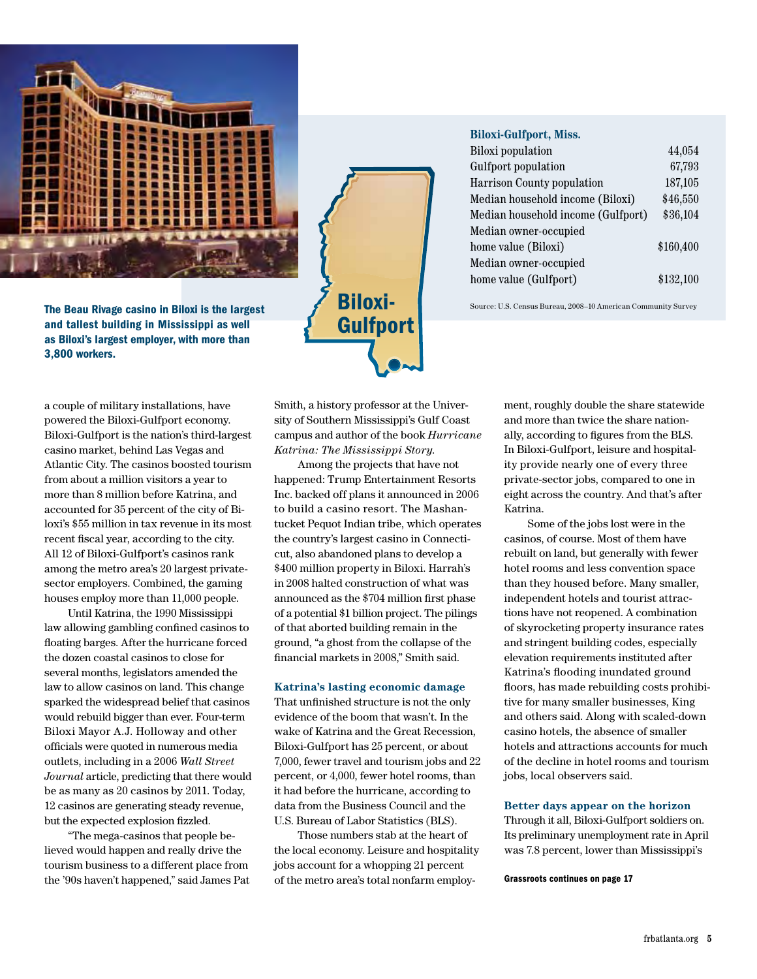

Biloxi-**Gulfport** 

## **Biloxi-Gulfport, Miss.**

| <b>Biloxi</b> population           | 44,054    |
|------------------------------------|-----------|
| Gulfport population                | 67,793    |
| <b>Harrison County population</b>  | 187,105   |
| Median household income (Biloxi)   | \$46,550  |
| Median household income (Gulfport) | \$36,104  |
| Median owner-occupied              |           |
| home value (Biloxi)                | \$160,400 |
| Median owner-occupied              |           |
| home value (Gulfport)              | \$132,100 |

The Beau Rivage casino in Biloxi is the largest **EXEMPLE PERSON AMERICAL** Source: U.S. Census Bureau, 2008–10 American Community Survey

and tallest building in Mississippi as well as Biloxi's largest employer, with more than 3,800 workers.

a couple of military installations, have powered the Biloxi-Gulfport economy. Biloxi-Gulfport is the nation's third-largest casino market, behind Las Vegas and Atlantic City. The casinos boosted tourism from about a million visitors a year to more than 8 million before Katrina, and accounted for 35 percent of the city of Biloxi's \$55 million in tax revenue in its most recent fiscal year, according to the city. All 12 of Biloxi-Gulfport's casinos rank among the metro area's 20 largest privatesector employers. Combined, the gaming houses employ more than 11,000 people.

Until Katrina, the 1990 Mississippi law allowing gambling confined casinos to floating barges. After the hurricane forced the dozen coastal casinos to close for several months, legislators amended the law to allow casinos on land. This change sparked the widespread belief that casinos would rebuild bigger than ever. Four-term Biloxi Mayor A.J. Holloway and other officials were quoted in numerous media outlets, including in a 2006 *Wall Street Journal* article, predicting that there would be as many as 20 casinos by 2011. Today, 12 casinos are generating steady revenue, but the expected explosion fizzled.

"The mega-casinos that people believed would happen and really drive the tourism business to a different place from the '90s haven't happened," said James Pat

Smith, a history professor at the University of Southern Mississippi's Gulf Coast campus and author of the book *Hurricane Katrina: The Mississippi Story*.

Among the projects that have not happened: Trump Entertainment Resorts Inc. backed off plans it announced in 2006 to build a casino resort. The Mashantucket Pequot Indian tribe, which operates the country's largest casino in Connecticut, also abandoned plans to develop a \$400 million property in Biloxi. Harrah's in 2008 halted construction of what was announced as the \$704 million first phase of a potential \$1 billion project. The pilings of that aborted building remain in the ground, "a ghost from the collapse of the financial markets in 2008," Smith said.

### **Katrina's lasting economic damage**

That unfinished structure is not the only evidence of the boom that wasn't. In the wake of Katrina and the Great Recession, Biloxi-Gulfport has 25 percent, or about 7,000, fewer travel and tourism jobs and 22 percent, or 4,000, fewer hotel rooms, than it had before the hurricane, according to data from the Business Council and the U.S. Bureau of Labor Statistics (BLS).

Those numbers stab at the heart of the local economy. Leisure and hospitality jobs account for a whopping 21 percent of the metro area's total nonfarm employ-

ment, roughly double the share statewide and more than twice the share nationally, according to figures from the BLS. In Biloxi-Gulfport, leisure and hospitality provide nearly one of every three private-sector jobs, compared to one in eight across the country. And that's after Katrina.

Some of the jobs lost were in the casinos, of course. Most of them have rebuilt on land, but generally with fewer hotel rooms and less convention space than they housed before. Many smaller, independent hotels and tourist attractions have not reopened. A combination of skyrocketing property insurance rates and stringent building codes, especially elevation requirements instituted after Katrina's flooding inundated ground floors, has made rebuilding costs prohibitive for many smaller businesses, King and others said. Along with scaled-down casino hotels, the absence of smaller hotels and attractions accounts for much of the decline in hotel rooms and tourism jobs, local observers said.

### **Better days appear on the horizon**

Through it all, Biloxi-Gulfport soldiers on. Its preliminary unemployment rate in April was 7.8 percent, lower than Mississippi's

Grassroots continues on page 17